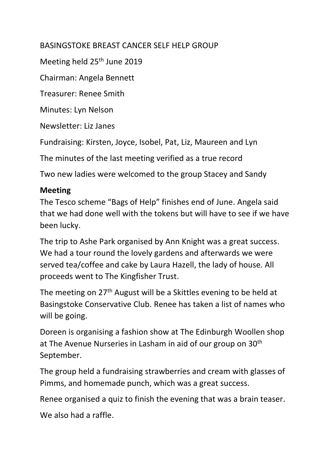## BASINGSTOKE BREAST CANCER SELF HELP GROUP

Meeting held 25<sup>th</sup> June 2019

Chairman: Angela Bennett

Treasurer: Renee Smith

Minutes: Lyn Nelson

Newsletter: Liz Janes

Fundraising: Kirsten, Joyce, Isobel, Pat, Liz, Maureen and Lyn

The minutes of the last meeting verified as a true record

Two new ladies were welcomed to the group Stacey and Sandy

## **Meeting**

The Tesco scheme "Bags of Help" finishes end of June. Angela said that we had done well with the tokens but will have to see if we have been lucky.

The trip to Ashe Park organised by Ann Knight was a great success. We had a tour round the lovely gardens and afterwards we were served tea/coffee and cake by Laura Hazell, the lady of house. All proceeds went to The Kingfisher Trust.

The meeting on 27<sup>th</sup> August will be a Skittles evening to be held at Basingstoke Conservative Club. Renee has taken a list of names who will be going.

Doreen is organising a fashion show at The Edinburgh Woollen shop at The Avenue Nurseries in Lasham in aid of our group on 30<sup>th</sup> September.

The group held a fundraising strawberries and cream with glasses of Pimms, and homemade punch, which was a great success.

Renee organised a quiz to finish the evening that was a brain teaser.

We also had a raffle.